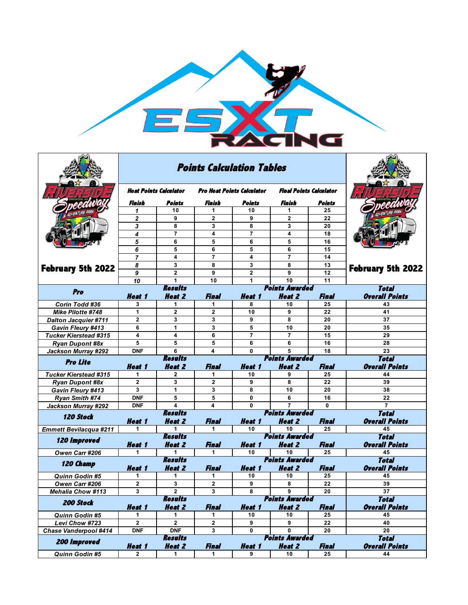

|                                         |                        | <b>Points Calculation Tables</b> |                                   |                            |                                        |                 |                                       |
|-----------------------------------------|------------------------|----------------------------------|-----------------------------------|----------------------------|----------------------------------------|-----------------|---------------------------------------|
|                                         | Heat Points Calculator |                                  | <b>Pro Heat Points Calculator</b> |                            | <b>Final Points Calculator</b>         |                 |                                       |
|                                         | Finish                 | Points                           | Finish                            | Points                     | Finish                                 | Points          |                                       |
|                                         | 1                      | 10                               | 1                                 | 10                         | 1                                      | 25              |                                       |
|                                         | $\overline{2}$         | 9                                | $\mathbf{2}$                      | 9                          | $\mathbf{2}$                           | 22              |                                       |
| <b>February 5th 2022</b>                | 3                      | 8                                | 3                                 | 8                          | 3                                      | 20              |                                       |
|                                         | 4                      | 7                                | 4                                 | $\overline{7}$             | 4                                      | 18              |                                       |
|                                         | 5                      | 6                                | 5                                 | 6                          | 5                                      | 16              |                                       |
|                                         | 6                      | 5                                | 6                                 | 5                          | 6                                      | 15              |                                       |
|                                         | $\overline{7}$         | 4                                | $\overline{7}$                    | 4                          | 7                                      | 14              |                                       |
|                                         | 8                      | 3                                | 8                                 | 3                          | 8                                      | 13              | <b>February 5th 2022</b>              |
|                                         | 9                      | $\overline{2}$                   | 9                                 | $\overline{2}$             | 9                                      | $\overline{12}$ |                                       |
|                                         | 10                     | 1<br><b>Results</b>              | 10                                | 1                          | 10<br><b>Points Awarded</b>            | 11              |                                       |
| Pro                                     | <b>Heat 1</b>          | <b>Heat 2</b>                    | Final                             | <b>Heat 1</b>              | <b>Heat 2</b>                          | Final           | Total<br><b>Overall Points</b>        |
| <b>Corin Todd #36</b>                   | 3                      | 1                                | 1.                                | 8                          | 10                                     | 25              | 43                                    |
| Mike Pilotte #748                       | 1                      | $\mathbf{2}$                     | $\overline{2}$                    | 10                         | 9                                      | 22              | 41                                    |
| <b>Dalton Jacquier #711</b>             | $\mathbf{2}$           | 3                                | 3                                 | 9                          | 8                                      | 20              | 37                                    |
| Gavin Fleury #413                       | 6                      | $\mathbf{1}$                     | 3                                 | 5                          | 10                                     | 20              | 35                                    |
| <b>Tucker Kierstead #315</b>            | 4                      | 4                                | 6                                 | $\overline{7}$             | $\overline{7}$                         | 15              | 29                                    |
| <b>Ryan Dupont #8x</b>                  | 5                      | 5                                | 5                                 | 6                          | 6                                      | 16              | 28                                    |
| Jackson Murray #292                     | <b>DNF</b>             | 6                                | 4                                 | 0                          | 5                                      | 18              | 23                                    |
|                                         |                        |                                  |                                   |                            |                                        |                 |                                       |
|                                         |                        | <b>Results</b>                   |                                   |                            | <b>Points Awarded</b>                  |                 | <b>Total</b>                          |
| <b>Pro Lite</b>                         | <b>Heat 1</b>          | <b>Heat 2</b>                    | <b>Final</b>                      | <b>Heat 1</b>              | <b>Heat 2</b>                          | Final           | <b>Overall Points</b>                 |
| <b>Tucker Kierstead #315</b>            | 1                      | $\mathbf{2}$                     | 1                                 | 10                         | 9                                      | 25              | 44                                    |
| <b>Ryan Dupont #8x</b>                  | $\mathbf{2}$           | 3                                | $\mathbf{2}$                      | 9                          | 8                                      | 22              | 39                                    |
| Gavin Fleury #413                       | 3                      | $\mathbf{1}$                     | 3                                 | 8                          | 10                                     | 20              | 38                                    |
| <b>Ryan Smith #74</b>                   | <b>DNF</b>             | 5                                | 5                                 | 0                          | 6                                      | 16              | 22                                    |
| Jackson Murray #292                     | <b>DNF</b>             | $\overline{\mathbf{A}}$          | 4                                 | $\bf{0}$                   | $\overline{7}$                         | $\bf{0}$        | $\overline{7}$                        |
| <b>120 Stock</b>                        |                        | <b>Results</b>                   |                                   |                            | <b>Points Awarded</b>                  |                 | <b>Total</b>                          |
|                                         | <b>Heat 1</b>          | <b>Heat 2</b>                    | Final                             | <b>Heat 1</b>              | <b>Heat 2</b>                          | Final           | <b>Overall Points</b>                 |
| <b>Emmett Bevilacqua #211</b>           | 1                      | 1                                | 1                                 | 10                         | 10                                     | 25              | 45                                    |
| <b>120 Improved</b>                     |                        | <b>Results</b>                   |                                   |                            | <b>Points Awarded</b>                  |                 | <b>Total</b>                          |
|                                         | <b>Heat 1</b>          | <b>Heat 2</b>                    | Final                             | <b>Heat 1</b>              | <b>Heat 2</b>                          | Final           | <b>Overall Points</b>                 |
| Owen Carr #206                          | 1                      | 1                                | 1                                 | 10                         | 10                                     | 25              | 45                                    |
| 120 Champ                               |                        | <b>Results</b>                   |                                   |                            | <b>Points Awarded</b>                  |                 | <b>Total</b>                          |
|                                         | Heat 1<br>1            | <b>Heat 2</b><br>1               | <b>Final</b><br>1                 | <i><b>Heat 1</b></i><br>10 | <b>Heat 2</b><br>10                    | Final<br>25     | <b>Overall Points</b><br>45           |
| <b>Quinn Godin #5</b><br>Owen Carr #206 | $\overline{2}$         | 3                                | $\overline{2}$                    | 9                          | 8                                      | 22              | 39                                    |
| <b>Mehalia Chow #113</b>                | 3                      | $\mathbf{2}$                     | 3                                 | 8                          | 9                                      | 20              | 37                                    |
|                                         |                        | <i><b>Results</b></i>            |                                   |                            | <i><b>Points Awarded</b></i>           |                 | <b>Total</b>                          |
| 200 Stock                               | <b>Heat 1</b>          | <b>Heat 2</b>                    | <b>Final</b>                      | <b>Heat 1</b>              | <b>Heat 2</b>                          | Final           | <b>Overall Points</b>                 |
| Quinn Godin #5                          | 1                      | 1                                | 1                                 | 10                         | 10                                     | 25              | 45                                    |
| Levi Chow #723                          | $\mathbf 2$            | $\mathbf{2}$                     | $\mathbf{2}$                      | 9                          | 9                                      | 22              | 40                                    |
| <b>Chase Vanderpool #414</b>            | <b>DNF</b>             | <b>DNF</b>                       | 3                                 | 0                          | 0                                      | 20              | 20                                    |
| 200 Improved                            | <b>Heat 1</b>          | <b>Results</b><br><b>Heat 2</b>  | <b>Final</b>                      | <b>Heat 1</b>              | <b>Points Awarded</b><br><b>Heat 2</b> | <b>Final</b>    | <b>Total</b><br><b>Overall Points</b> |